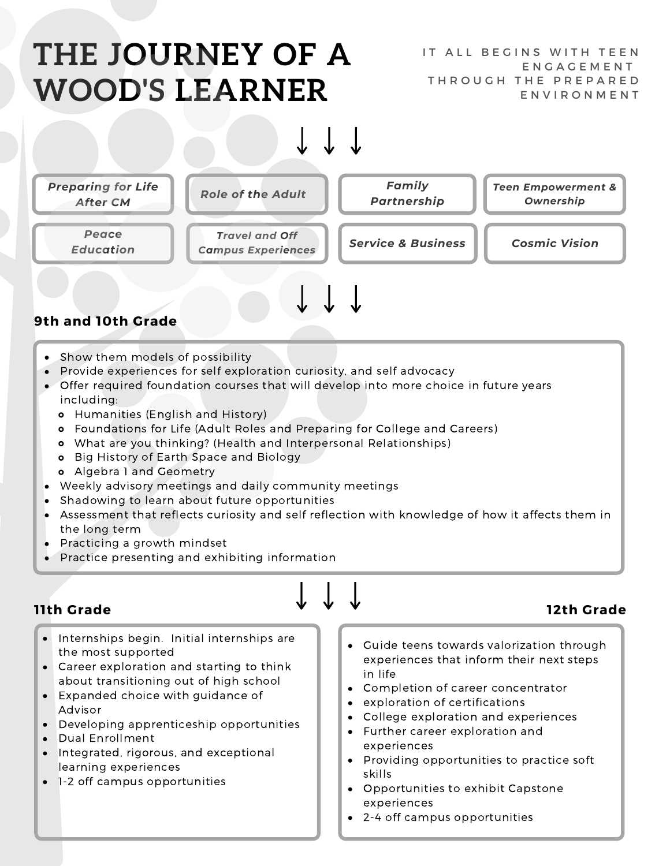# **THE JOURNEY OF A WOOD'S LEARNER**





- Show them models of possibility
- Provide experiences for self exploration curiosity, and self advocacy
- Offer required foundation courses that will develop into more choice in future years including:
	- Humanities (English and History)
	- Foundations for Life (Adult Roles and Preparing for College and Careers)
	- What are you thinking? (Health and Interpersonal Relationships)
	- **o** Big History of Earth Space and Biology
	- Algebra 1 and Geometry
- Weekly advisory meetings and daily community meetings
- $\bullet$ Shadowing to learn about future opportunities
- Assessment that reflects curiosity and self reflection with knowledge of how it affects them in the long term
- Practicing a growth mindset
- Practice presenting and exhibiting information

### **11th Grade 12th Grade**

- Internships begin. Initial internships are the most supported
- Career exploration and starting to think about transitioning out of high school
- Expanded choice with guidance of Advisor
- Developing apprenticeship opportunities
- Dual Enrollment
- Integrated, rigorous, and exceptional learning experiences
- 1-2 off campus opportunities
- Guide teens towards valorization through experiences that inform their next steps in life
- Completion of career concentrator
- exploration of certifications
- College exploration and experiences
- Further career exploration and experiences
- Providing opportunities to practice soft skills
- Opportunities to exhibit Capstone experiences
- 2-4 off campus opportunities